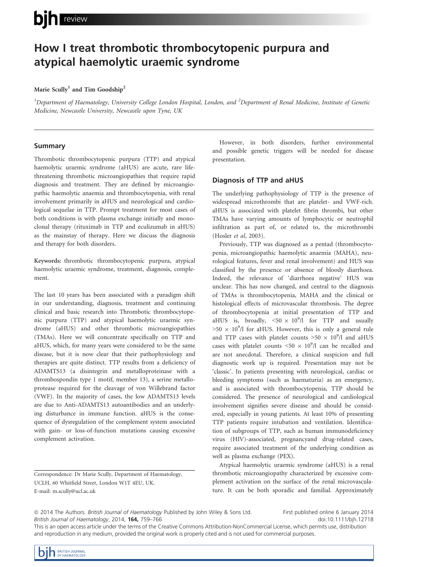# bin review

# How I treat thrombotic thrombocytopenic purpura and atypical haemolytic uraemic syndrome

### Marie Scully<sup>1</sup> and Tim Goodship<sup>2</sup>

 $^1$ Department of Haematology, University College London Hospital, London, and  $^2$ Department of Renal Medicine, Institute of Genetic Medicine, Newcastle University, Newcastle upon Tyne, UK

# Summary

Thrombotic thrombocytopenic purpura (TTP) and atypical haemolytic uraemic syndrome (aHUS) are acute, rare lifethreatening thrombotic microangiopathies that require rapid diagnosis and treatment. They are defined by microangiopathic haemolytic anaemia and thrombocytopenia, with renal involvement primarily in aHUS and neurological and cardiological sequelae in TTP. Prompt treatment for most cases of both conditions is with plasma exchange initially and monoclonal therapy (rituximab in TTP and eculizumab in aHUS) as the mainstay of therapy. Here we discuss the diagnosis and therapy for both disorders.

Keywords: thrombotic thrombocytopenic purpura, atypical haemolytic uraemic syndrome, treatment, diagnosis, complement.

The last 10 years has been associated with a paradigm shift in our understanding, diagnosis, treatment and continuing clinical and basic research into Thrombotic thrombocytopenic purpura (TTP) and atypical haemolytic uraemic syndrome (aHUS) and other thrombotic microangiopathies (TMAs). Here we will concentrate specifically on TTP and aHUS, which, for many years were considered to be the same disease, but it is now clear that their pathophysiology and therapies are quite distinct. TTP results from a deficiency of ADAMTS13 (a disintegrin and metalloproteinase with a thrombospondin type 1 motif, member 13), a serine metalloprotease required for the cleavage of von Willebrand factor (VWF). In the majority of cases, the low ADAMTS13 levels are due to Anti-ADAMTS13 autoantibodies and an underlying disturbance in immune function. aHUS is the consequence of dysregulation of the complement system associated with gain- or loss-of-function mutations causing excessive complement activation.

Correspondence: Dr Marie Scully, Department of Haematology, UCLH, 60 Whitfield Street, London W1T 4EU, UK. E-mail: m.scully@ucl.ac.uk

However, in both disorders, further environmental and possible genetic triggers will be needed for disease presentation.

# Diagnosis of TTP and aHUS

The underlying pathophysiology of TTP is the presence of widespread microthrombi that are platelet- and VWF-rich. aHUS is associated with platelet fibrin thrombi, but other TMAs have varying amounts of lymphocytic or neutrophil infiltration as part of, or related to, the microthrombi (Hosler et al, 2003).

Previously, TTP was diagnosed as a pentad (thrombocytopenia, microangiopathic haemolytic anaemia (MAHA), neurological features, fever and renal involvement) and HUS was classified by the presence or absence of bloody diarrhoea. Indeed, the relevance of 'diarrhoea negative' HUS was unclear. This has now changed, and central to the diagnosis of TMAs is thrombocytopenia, MAHA and the clinical or histological effects of microvascular thrombosis. The degree of thrombocytopenia at initial presentation of TTP and aHUS is, broadly,  $\langle 50 \times 10^9 \rangle$  for TTP and usually  $>50 \times 10^9$ /l for aHUS. However, this is only a general rule and TTP cases with platelet counts  $>50 \times 10^9$ /l and aHUS cases with platelet counts  $\langle 50 \times 10^9 / l \rangle$  can be recalled and are not anecdotal. Therefore, a clinical suspicion and full diagnostic work up is required. Presentation may not be 'classic'. In patients presenting with neurological, cardiac or bleeding symptoms (such as haematuria) as an emergency, and is associated with thrombocytopenia, TTP should be considered. The presence of neurological and cardiological involvement signifies severe disease and should be considered, especially in young patients. At least 10% of presenting TTP patients require intubation and ventilation. Identification of subgroups of TTP, such as human immunodeficiency virus (HIV)-associated, pregnancyand drug-related cases, require associated treatment of the underlying condition as well as plasma exchange (PEX).

Atypical haemolytic uraemic syndrome (aHUS) is a renal thrombotic microangiopathy characterized by excessive complement activation on the surface of the renal microvasculature. It can be both sporadic and familial. Approximately

First published online 6 January 2014 doi:10.1111/bjh.12718

This is an open access article under the terms of the Creative Commons Attribution-NonCommercial License, which permits use, distribution and reproduction in any medium, provided the original work is properly cited and is not used for commercial purposes.

<sup>© 2014</sup> The Authors. British Journal of Haematology Published by John Wiley & Sons Ltd. British Journal of Haematology, 2014, 164, 759–766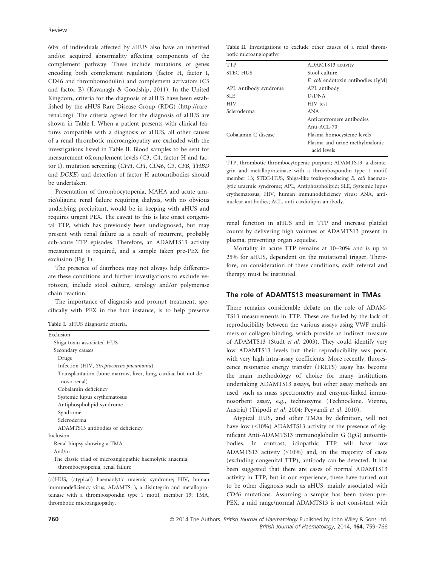60% of individuals affected by aHUS also have an inherited and/or acquired abnormality affecting components of the complement pathway. These include mutations of genes encoding both complement regulators (factor H, factor I, CD46 and thrombomodulin) and complement activators (C3 and factor B) (Kavanagh & Goodship, 2011). In the United Kingdom, criteria for the diagnosis of aHUS have been established by the aHUS Rare Disease Group (RDG) (http://rarerenal.org). The criteria agreed for the diagnosis of aHUS are shown in Table I. When a patient presents with clinical features compatible with a diagnosis of aHUS, all other causes of a renal thrombotic microangiopathy are excluded with the investigations listed in Table II. Blood samples to be sent for measurement ofcomplement levels (C3, C4, factor H and factor I), mutation screening (CFH, CFI, CD46, C3, CFB, THBD and DGKE) and detection of factor H autoantibodies should be undertaken.

Presentation of thrombocytopenia, MAHA and acute anuric/oliguric renal failure requiring dialysis, with no obvious underlying precipitant, would be in keeping with aHUS and requires urgent PEX. The caveat to this is late onset congenital TTP, which has previously been undiagnosed, but may present with renal failure as a result of recurrent, probably sub-acute TTP episodes. Therefore, an ADAMTS13 activity measurement is required, and a sample taken pre-PEX for exclusion (Fig 1).

The presence of diarrhoea may not always help differentiate these conditions and further investigations to exclude verotoxin, include stool culture, serology and/or polymerase chain reaction.

The importance of diagnosis and prompt treatment, specifically with PEX in the first instance, is to help preserve

Table I. aHUS diagnostic criteria.

| Exclusion                                                                     |
|-------------------------------------------------------------------------------|
| Shiga toxin-associated HUS                                                    |
| Secondary causes                                                              |
| Drugs                                                                         |
| Infection (HIV, Streptococcus pneumonia)                                      |
| Transplantation (bone marrow, liver, lung, cardiac but not de-<br>novo renal) |
| Cobalamin deficiency                                                          |
| Systemic lupus erythematosus                                                  |
| Antiphospholipid syndrome                                                     |
| Syndrome                                                                      |
| Scleroderma                                                                   |
| ADAMTS13 antibodies or deficiency                                             |
| Inclusion                                                                     |
| Renal biopsy showing a TMA                                                    |
| And/or                                                                        |
| The classic triad of microangiopathic haemolytic anaemia,                     |
| thrombocytopenia, renal failure                                               |

<sup>(</sup>a)HUS, (atypical) haemaolytic uraemic syndrome; HIV, human immunodeficiency virus; ADAMTS13, a disintegrin and metalloproteinase with a thrombospondin type 1 motif, member 13; TMA, thrombotic microangiopathy.

| <b>TTP</b>            | ADAMTS13 activity                         |
|-----------------------|-------------------------------------------|
| <b>STEC HUS</b>       | Stool culture                             |
|                       | <i>E. coli</i> endotoxin antibodies (IgM) |
| APL Antibody syndrome | APL antibody                              |
| <b>SLE</b>            | <b>D</b> sDNA                             |
| <b>HIV</b>            | HIV test                                  |
| Scleroderma           | <b>ANA</b>                                |
|                       | Anticentromere antibodies                 |
|                       | $Anti-ACL-70$                             |
| Cobalamin C disease   | Plasma homocysteine levels                |
|                       | Plasma and urine methylmalonic            |
|                       | acid levels                               |
|                       |                                           |

TTP, thrombotic thrombocytopenic purpura; ADAMTS13, a disintegrin and metalloproteinase with a thrombospondin type 1 motif, member 13; STEC-HUS, Shiga-like toxin-producing E. coli haemaolytic uraemic syndrome; APL, Antiphospholipid; SLE, Systemic lupus erythematosus; HIV, human immunodeficiency virus; ANA, antinuclear antibodies; ACL, anti-cardiolipin antibody.

renal function in aHUS and in TTP and increase platelet counts by delivering high volumes of ADAMTS13 present in plasma, preventing organ sequelae.

Mortality in acute TTP remains at 10–20% and is up to 25% for aHUS, dependent on the mutational trigger. Therefore, on consideration of these conditions, swift referral and therapy must be instituted.

# The role of ADAMTS13 measurement in TMAs

There remains considerable debate on the role of ADAM-TS13 measurements in TTP. These are fuelled by the lack of reproducibility between the various assays using VWF multimers or collagen binding, which provide an indirect measure of ADAMTS13 (Studt et al, 2003). They could identify very low ADAMTS13 levels but their reproducibility was poor, with very high intra-assay coefficients. More recently, fluorescence resonance energy transfer (FRETS) assay has become the main methodology of choice for many institutions undertaking ADAMTS13 assays, but other assay methods are used, such as mass spectrometry and enzyme-linked immunosorbent assay, e.g., technozyme (Technoclone, Vienna, Austria) (Tripodi et al, 2004; Peyvandi et al, 2010).

Atypical HUS, and other TMAs by definition, will not have low (<10%) ADAMTS13 activity or the presence of significant Anti-ADAMTS13 immunoglobulin G (IgG) autoantibodies. In contrast, idiopathic TTP will have low ADAMTS13 activity (<10%) and, in the majority of cases (excluding congenital TTP), antibody can be detected. It has been suggested that there are cases of normal ADAMTS13 activity in TTP, but in our experience, these have turned out to be other diagnosis such as aHUS, mainly associated with CD46 mutations. Assuming a sample has been taken pre-PEX, a mid range/normal ADAMTS13 is not consistent with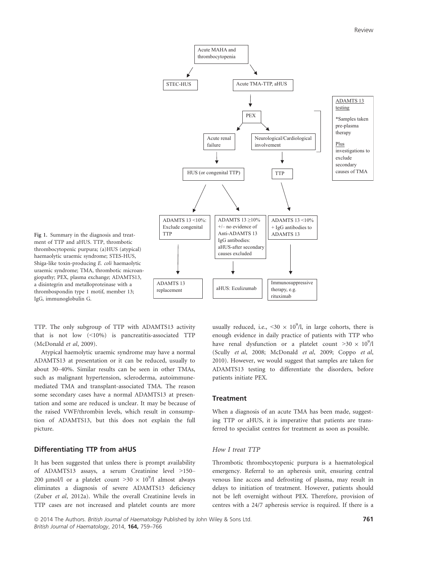

Fig 1. Summary in the diagnosis and treatment of TTP and aHUS. TTP, thrombotic thrombocytopenic purpura; (a)HUS (atypical) haemaolytic uraemic syndrome; STES-HUS, Shiga-like toxin-producing E. coli haemaolytic uraemic syndrome; TMA, thrombotic microangiopathy; PEX, plasma exchange; ADAMTS13, a disintegrin and metalloproteinase with a thrombospondin type 1 motif, member 13; IgG, immunoglobulin G.

TTP. The only subgroup of TTP with ADAMTS13 activity that is not low (<10%) is pancreatitis-associated TTP (McDonald et al, 2009).

Atypical haemolytic uraemic syndrome may have a normal ADAMTS13 at presentation or it can be reduced, usually to about 30–40%. Similar results can be seen in other TMAs, such as malignant hypertension, scleroderma, autoimmunemediated TMA and transplant-associated TMA. The reason some secondary cases have a normal ADAMTS13 at presentation and some are reduced is unclear. It may be because of the raised VWF/thrombin levels, which result in consumption of ADAMTS13, but this does not explain the full picture.

# Differentiating TTP from aHUS

It has been suggested that unless there is prompt availability of ADAMTS13 assays, a serum Creatinine level >150– 200 µmol/l or a platelet count  $>$ 30  $\times$  10<sup>9</sup>/l almost always eliminates a diagnosis of severe ADAMTS13 deficiency (Zuber et al, 2012a). While the overall Creatinine levels in TTP cases are not increased and platelet counts are more

usually reduced, i.e., <30  $\times$  10<sup>9</sup>/l, in large cohorts, there is enough evidence in daily practice of patients with TTP who have renal dysfunction or a platelet count  $>30 \times 10^9$ /l (Scully et al, 2008; McDonald et al, 2009; Coppo et al, 2010). However, we would suggest that samples are taken for ADAMTS13 testing to differentiate the disorders, before patients initiate PEX.

#### **Treatment**

When a diagnosis of an acute TMA has been made, suggesting TTP or aHUS, it is imperative that patients are transferred to specialist centres for treatment as soon as possible.

#### How I treat TTP

Thrombotic thrombocytopenic purpura is a haematological emergency. Referral to an apheresis unit, ensuring central venous line access and defrosting of plasma, may result in delays to initiation of treatment. However, patients should not be left overnight without PEX. Therefore, provision of centres with a 24/7 apheresis service is required. If there is a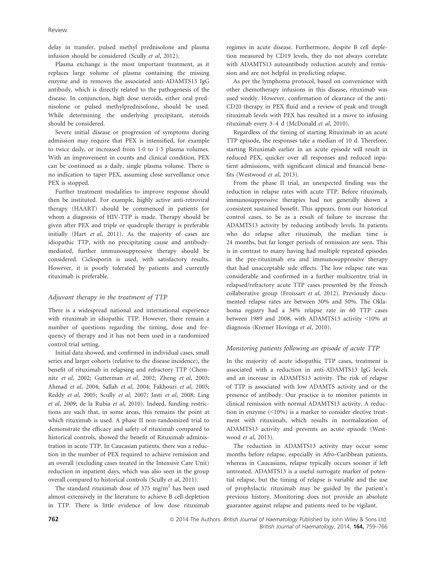delay in transfer, pulsed methyl prednisolone and plasma infusion should be considered (Scully et al, 2012).

Plasma exchange is the most important treatment, as it replaces large volume of plasma containing the missing enzyme and in removes the associated anti-ADAMTS13 IgG antibody, which is directly related to the pathogenesis of the disease. In conjunction, high dose steroids, either oral prednisolone or pulsed methylprednisolone, should be used. While determining the underlying precipitant, steroids should be considered.

Severe initial disease or progression of symptoms during admission may require that PEX is intensified, for example to twice daily, or increased from  $1.0$  to  $1.5$  plasma volumes. With an improvement in counts and clinical condition, PEX can be continued as a daily, single plasma volume. There is no indication to taper PEX, assuming close surveillance once PEX is stopped.

Further treatment modalities to improve response should then be instituted. For example, highly active anti-retroviral therapy (HAART) should be commenced in patients for whom a diagnosis of HIV-TTP is made. Therapy should be given after PEX and triple or quadruple therapy is preferable initially (Hart et al, 2011). As the majority of cases are idiopathic TTP, with no precipitating cause and antibodymediated, further immunosuppressive therapy should be considered. Ciclosporin is used, with satisfactory results. However, it is poorly tolerated by patients and currently rituximab is preferable.

#### Adjuvant therapy in the treatment of TTP

There is a widespread national and international experience with rituximab in idiopathic TTP. However, there remain a number of questions regarding the timing, dose and frequency of therapy and it has not been used in a randomized control trial setting.

Initial data showed, and confirmed in individual cases, small series and larger cohorts (relative to the disease incidence), the benefit of rituximab in relapsing and refractory TTP (Chemnitz et al, 2002; Gutterman et al, 2002; Zheng et al, 2003; Ahmad et al, 2004; Sallah et al, 2004; Fakhouri et al, 2005; Reddy et al, 2005; Scully et al, 2007; Jasti et al, 2008; Ling et al, 2009; de la Rubia et al, 2010). Indeed, funding restrictions are such that, in some areas, this remains the point at which rituximab is used. A phase II non-randomized trial to demonstrate the efficacy and safety of rituximab compared to historical controls, showed the benefit of Rituximab administration in acute TTP. In Caucasian patients, there was a reduction in the number of PEX required to achieve remission and an overall (excluding cases treated in the Intensive Care Unit) reduction in inpatient days, which was also seen in the group overall compared to historical controls (Scully et al, 2011).

The standard rituximab dose of 375 mg/m<sup>2</sup> has been used almost extensively in the literature to achieve B cell-depletion in TTP. There is little evidence of low dose rituximab regimes in acute disease. Furthermore, despite B cell depletion measured by CD19 levels, they do not always correlate with ADAMTS13 autoantibody reduction acutely and remission and are not helpful in predicting relapse.

As per the lymphoma protocol, based on convenience with other chemotherapy infusions in this disease, rituximab was used weekly. However, confirmation of clearance of the anti-CD20 therapy in PEX fluid and a review of peak and trough rituximab levels with PEX has resulted in a move to infusing rituximab every 3–4 d (McDonald et al, 2010).

Regardless of the timing of starting Rituximab in an acute TTP episode, the responses take a median of 10 d. Therefore, starting Rituximab earlier in an acute episode will result in reduced PEX, quicker over all responses and reduced inpatient admissions, with significant clinical and financial benefits (Westwood et al, 2013).

From the phase II trial, an unexpected finding was the reduction in relapse rates with acute TTP. Before rituximab, immunosuppressive therapies had not generally shown a consistent sustained benefit. This appears, from our historical control cases, to be as a result of failure to increase the ADAMTS13 activity by reducing antibody levels. In patients who do relapse after rituximab, the median time is 24 months, but far longer periods of remission are seen. This is in contrast to many having had multiple repeated episodes in the pre-rituximab era and immunosuppressive therapy that had unacceptable side effects. The low relapse rate was considerable and confirmed in a further multicentre trial in relapsed/refractory acute TTP cases presented by the French collaborative group (Froissart et al, 2012). Previously documented relapse rates are between 30% and 50%. The Oklahoma registry had a 34% relapse rate in 60 TTP cases between 1989 and 2008, with ADAMTS13 activity <10% at diagnosis (Kremer Hovinga et al, 2010).

#### Monitoring patients following an episode of acute TTP

In the majority of acute idiopathic TTP cases, treatment is associated with a reduction in anti-ADAMTS13 IgG levels and an increase in ADAMTS13 activity. The risk of relapse of TTP is associated with low ADAMTS activity and or the presence of antibody. Our practice is to monitor patients in clinical remission with normal ADAMTS13 activity. A reduction in enzyme (<10%) is a marker to consider elective treatment with rituximab, which results in normalization of ADAMTS13 activity and prevents an acute episode (Westwood et al, 2013).

The reduction in ADAMTS13 activity may occur some months before relapse, especially in Afro-Caribbean patients, whereas in Caucasians, relapse typically occurs sooner if left untreated. ADAMTS13 is a useful surrogate marker of potential relapse, but the timing of relapse is variable and the use of prophylactic rituximab may be guided by the patient's previous history. Monitoring does not provide an absolute guarantee against relapse and patients need to be vigilant.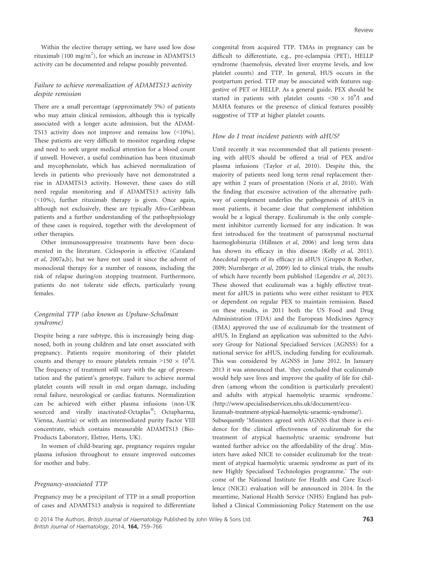Within the elective therapy setting, we have used low dose rituximab (100 mg/m<sup>2</sup>), for which an increase in ADAMTS13 activity can be documented and relapse possibly prevented.

# Failure to achieve normalization of ADAMTS13 activity despite remission

There are a small percentage (approximately 5%) of patients who may attain clinical remission, although this is typically associated with a longer acute admission, but the ADAM-TS13 activity does not improve and remains low (<10%). These patients are very difficult to monitor regarding relapse and need to seek urgent medical attention for a blood count if unwell. However, a useful combination has been rituximab and mycophenolate, which has achieved normalization of levels in patients who previously have not demonstrated a rise in ADAMTS13 activity. However, these cases do still need regular monitoring and if ADAMTS13 activity falls (<10%), further rituximab therapy is given. Once again, although not exclusively, these are typically Afro-Caribbean patients and a further understanding of the pathophysiology of these cases is required, together with the development of other therapies.

Other immunosuppressive treatments have been documented in the literature. Ciclosporin is effective (Cataland et al, 2007a,b), but we have not used it since the advent of monoclonal therapy for a number of reasons, including the risk of relapse during/on stopping treatment. Furthermore, patients do not tolerate side effects, particularly young females.

# Congenital TTP (also known as Upshaw-Schulman syndrome)

Despite being a rare subtype, this is increasingly being diagnosed, both in young children and late onset associated with pregnancy. Patients require monitoring of their platelet counts and therapy to ensure platelets remain >150  $\times$  10<sup>9</sup>/l. The frequency of treatment will vary with the age of presentation and the patient's genotype. Failure to achieve normal platelet counts will result in end organ damage, including renal failure, neurological or cardiac features. Normalization can be achieved with either plasma infusions (non-UK sourced and virally inactivated-Octaplas®; Octapharma, Vienna, Austria) or with an intermediated purity Factor VIII concentrate, which contains measurable ADAMTS13 (Bio-Products Laboratory, Elstree, Herts, UK).

In women of child-bearing age, pregnancy requires regular plasma infusion throughout to ensure improved outcomes for mother and baby.

#### Pregnancy-associated TTP

Pregnancy may be a precipitant of TTP in a small proportion of cases and ADAMTS13 analysis is required to differentiate congenital from acquired TTP. TMAs in pregnancy can be difficult to differentiate, e.g., pre-eclampsia (PET), HELLP syndrome (haemolysis, elevated liver enzyme levels, and low platelet counts) and TTP. In general, HUS occurs in the postpartum period. TTP may be associated with features suggestive of PET or HELLP. As a general guide, PEX should be started in patients with platelet counts  $\langle 50 \times 10^9 / 1 \rangle$  and MAHA features or the presence of clinical features possibly suggestive of TTP at higher platelet counts.

#### How do I treat incident patients with aHUS?

Until recently it was recommended that all patients presenting with aHUS should be offered a trial of PEX and/or plasma infusions (Taylor et al, 2010). Despite this, the majority of patients need long term renal replacement therapy within 2 years of presentation (Noris et al, 2010). With the finding that excessive activation of the alternative pathway of complement underlies the pathogenesis of aHUS in most patients, it became clear that complement inhibition would be a logical therapy. Eculizumab is the only complement inhibitor currently licensed for any indication. It was first introduced for the treatment of paroxysmal nocturnal haemoglobinuria (Hillmen et al, 2006) and long term data has shown its efficacy in this disease (Kelly et al, 2011). Anecdotal reports of its efficacy in aHUS (Gruppo & Rother, 2009; Nurnberger et al, 2009) led to clinical trials, the results of which have recently been published (Legendre et al, 2013). These showed that eculizumab was a highly effective treatment for aHUS in patients who were either resistant to PEX or dependent on regular PEX to maintain remission. Based on these results, in 2011 both the US Food and Drug Administration (FDA) and the European Medicines Agency (EMA) approved the use of eculizumab for the treatment of aHUS. In England an application was submitted to the Advisory Group for National Specialised Services (AGNSS) for a national service for aHUS, including funding for eculizumab. This was considered by AGNSS in June 2012. In January 2013 it was announced that. 'they concluded that eculizumab would help save lives and improve the quality of life for children (among whom the condition is particularly prevalent) and adults with atypical haemolytic uraemic syndrome.' (http://www.specialisedservices.nhs.uk/document/ecu-

lizumab-treatment-atypical-haemolytic-uraemic-syndrome/). Subsequently 'Ministers agreed with AGNSS that there is evidence for the clinical effectiveness of eculizumab for the treatment of atypical haemolytic uraemic syndrome but wanted further advice on the affordability of the drug'. Ministers have asked NICE to consider eculizumab for the treatment of atypical haemolytic uraemic syndrome as part of its new Highly Specialised Technologies programme.' The outcome of the National Institute for Health and Care Excellence (NICE) evaluation will be announced in 2014. In the meantime, National Health Service (NHS) England has published a Clinical Commissioning Policy Statement on the use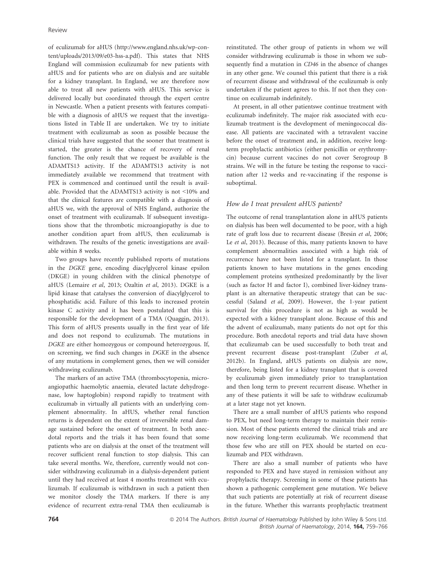of eculizumab for aHUS (http://www.england.nhs.uk/wp-content/uploads/2013/09/e03-hss-a.pdf). This states that NHS England will commission eculizumab for new patients with aHUS and for patients who are on dialysis and are suitable for a kidney transplant. In England, we are therefore now able to treat all new patients with aHUS. This service is delivered locally but coordinated through the expert centre in Newcastle. When a patient presents with features compatible with a diagnosis of aHUS we request that the investigations listed in Table II are undertaken. We try to initiate treatment with eculizumab as soon as possible because the clinical trials have suggested that the sooner that treatment is started, the greater is the chance of recovery of renal function. The only result that we request be available is the ADAMTS13 activity. If the ADAMTS13 activity is not immediately available we recommend that treatment with PEX is commenced and continued until the result is available. Provided that the ADAMTS13 activity is not <10% and that the clinical features are compatible with a diagnosis of aHUS we, with the approval of NHS England, authorize the onset of treatment with eculizumab. If subsequent investigations show that the thrombotic microangiopathy is due to another condition apart from aHUS, then eculizumab is withdrawn. The results of the genetic investigations are available within 8 weeks.

Two groups have recently published reports of mutations in the DGKE gene, encoding diacylglycerol kinase epsilon (DKGE) in young children with the clinical phenotype of aHUS (Lemaire et al, 2013; Ozaltin et al, 2013). DGKE is a lipid kinase that catalyses the conversion of diacylglycerol to phosphatidic acid. Failure of this leads to increased protein kinase C activity and it has been postulated that this is responsible for the development of a TMA (Quaggin, 2013). This form of aHUS presents usually in the first year of life and does not respond to eculizumab. The mutations in DGKE are either homozygous or compound heterozygous. If, on screening, we find such changes in DGKE in the absence of any mutations in complement genes, then we will consider withdrawing eculizumab.

The markers of an active TMA (thrombocytopenia, microangiopathic haemolytic anaemia, elevated lactate dehydrogenase, low haptoglobin) respond rapidly to treatment with eculizumab in virtually all patients with an underlying complement abnormality. In aHUS, whether renal function returns is dependent on the extent of irreversible renal damage sustained before the onset of treatment. In both anecdotal reports and the trials it has been found that some patients who are on dialysis at the onset of the treatment will recover sufficient renal function to stop dialysis. This can take several months. We, therefore, currently would not consider withdrawing eculizumab in a dialysis-dependent patient until they had received at least 4 months treatment with eculizumab. If eculizumab is withdrawn in such a patient then we monitor closely the TMA markers. If there is any evidence of recurrent extra-renal TMA then eculizumab is reinstituted. The other group of patients in whom we will consider withdrawing eculizumab is those in whom we subsequently find a mutation in CD46 in the absence of changes in any other gene. We counsel this patient that there is a risk of recurrent disease and withdrawal of the eculizumab is only undertaken if the patient agrees to this. If not then they continue on eculizumab indefinitely.

At present, in all other patientswe continue treatment with eculizumab indefinitely. The major risk associated with eculizumab treatment is the development of meningococcal disease. All patients are vaccinated with a tetravalent vaccine before the onset of treatment and, in addition, receive longterm prophylactic antibiotics (either penicillin or erythromycin) because current vaccines do not cover Serogroup B strains. We will in the future be testing the response to vaccination after 12 weeks and re-vaccinating if the response is suboptimal.

#### How do I treat prevalent aHUS patients?

The outcome of renal transplantation alone in aHUS patients on dialysis has been well documented to be poor, with a high rate of graft loss due to recurrent disease (Bresin et al, 2006; Le et al, 2013). Because of this, many patients known to have complement abnormalities associated with a high risk of recurrence have not been listed for a transplant. In those patients known to have mutations in the genes encoding complement proteins synthesized predominantly by the liver (such as factor H and factor I), combined liver-kidney transplant is an alternative therapeutic strategy that can be successful (Saland et al, 2009). However, the 1-year patient survival for this procedure is not as high as would be expected with a kidney transplant alone. Because of this and the advent of eculizumab, many patients do not opt for this procedure. Both anecdotal reports and trial data have shown that eculizumab can be used successfully to both treat and prevent recurrent disease post-transplant (Zuber et al, 2012b). In England, aHUS patients on dialysis are now, therefore, being listed for a kidney transplant that is covered by eculizumab given immediately prior to transplantation and then long term to prevent recurrent disease. Whether in any of these patients it will be safe to withdraw eculizumab at a later stage not yet known.

There are a small number of aHUS patients who respond to PEX, but need long-term therapy to maintain their remission. Most of these patients entered the clinical trials and are now receiving long-term eculizumab. We recommend that those few who are still on PEX should be started on eculizumab and PEX withdrawn.

There are also a small number of patients who have responded to PEX and have stayed in remission without any prophylactic therapy. Screening in some of these patients has shown a pathogenic complement gene mutation. We believe that such patients are potentially at risk of recurrent disease in the future. Whether this warrants prophylactic treatment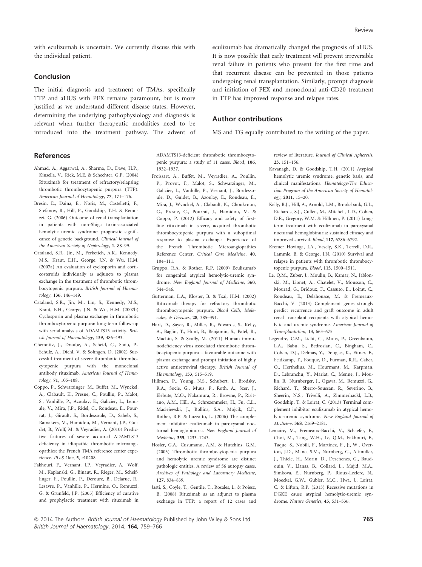with eculizumab is uncertain. We currently discuss this with the individual patient.

#### Conclusion

The initial diagnosis and treatment of TMAs, specifically TTP and aHUS with PEX remains paramount, but is more justified as we understand different disease states. However, determining the underlying pathophysiology and diagnosis is relevant when further therapeutic modalities need to be introduced into the treatment pathway. The advent of eculizumab has dramatically changed the prognosis of aHUS. It is now possible that early treatment will prevent irreversible renal failure in patients who present for the first time and that recurrent disease can be prevented in those patients undergoing renal transplantation. Similarly, prompt diagnosis and initiation of PEX and monoclonal anti-CD20 treatment in TTP has improved response and relapse rates.

#### Author contributions

MS and TG equally contributed to the writing of the paper.

# References

- Ahmad, A., Aggarwal, A., Sharma, D., Dave, H.P., Kinsella, V., Rick, M.E. & Schechter, G.P. (2004) Rituximab for treatment of refractory/relapsing thrombotic thrombocytopenic purpura (TTP). American Journal of Hematology, 77, 171–176.
- Bresin, E., Daina, E., Noris, M., Castelletti, F., Stefanov, R., Hill, P., Goodship, T.H. & Remuzzi, G. (2006) Outcome of renal transplantation in patients with non-Shiga toxin-associated hemolytic uremic syndrome: prognostic significance of genetic background. Clinical Journal of the American Society of Nephrology, 1, 88–99.
- Cataland, S.R., Jin, M., Ferketich, A.K., Kennedy, M.S., Kraut, E.H., George, J.N. & Wu, H.M. (2007a) An evaluation of cyclosporin and corticosteroids individually as adjuncts to plasma exchange in the treatment of thrombotic thrombocytopenic purpura. British Journal of Haematology, 136, 146–149.
- Cataland, S.R., Jin, M., Lin, S., Kennedy, M.S., Kraut, E.H., George, J.N. & Wu, H.M. (2007b) Cyclosporin and plasma exchange in thrombotic thrombocytopenic purpura: long-term follow-up with serial analysis of ADAMTS13 activity. British Journal of Haematology, 139, 486–493.
- Chemnitz, J., Draube, A., Scheid, C., Staib, P., Schulz, A., Diehl, V. & Sohngen, D. (2002) Successful treatment of severe thrombotic thrombocytopenic purpura with the monoclonal antibody rituximab. American Journal of Hematology, 71, 105–108.
- Coppo, P., Schwarzinger, M., Buffet, M., Wynckel, A., Clabault, K., Presne, C., Poullin, P., Malot, S., Vanhille, P., Azoulay, E., Galicier, L., Lemiale, V., Mira, J.P., Ridel, C., Rondeau, E., Pourrat, J., Girault, S., Bordessoule, D., Saheb, S., Ramakers, M., Hamidou, M., Vernant, J.P., Guidet, B., Wolf, M. & Veyradier, A. (2010) Predictive features of severe acquired ADAMTS13 deficiency in idiopathic thrombotic microangiopathies: the French TMA reference center experience. PLoS One, 5, e10208.
- Fakhouri, F., Vernant, J.P., Veyradier, A., Wolf, M., Kaplanski, G., Binaut, R., Rieger, M., Scheiflinger, F., Poullin, P., Deroure, B., Delarue, R., Lesavre, P., Vanhille, P., Hermine, O., Remuzzi, G. & Grunfeld, J.P. (2005) Efficiency of curative and prophylactic treatment with rituximab in

ADAMTS13-deficient thrombotic thrombocytopenic purpura: a study of 11 cases. Blood, 106, 1932–1937.

- Froissart, A., Buffet, M., Veyradier, A., Poullin, P., Provot, F., Malot, S., Schwarzinger, M., Galicier, L., Vanhille, P., Vernant, J., Bordessoule, D., Guidet, B., Azoulay, E., Rondeau, E., Mira, J., Wynckel, A., Clabault, K., Choukroun, G., Presne, C., Pourrat, J., Hamidou, M. & Coppo, P. (2012) Efficacy and safety of firstline rituximab in severe, acquired thrombotic thrombocytopenic purpura with a suboptimal response to plasma exchange. Experience of the French Thrombotic Microangiopathies Reference Center. Critical Care Medicine, 40, 104–111.
- Gruppo, R.A. & Rother, R.P. (2009) Eculizumab for congenital atypical hemolytic-uremic syndrome. New England Journal of Medicine, 360, 544–546.
- Gutterman, L.A., Kloster, B. & Tsai, H.M. (2002) Rituximab therapy for refractory thrombotic thrombocytopenic purpura. Blood Cells, Molecules, & Diseases, 28, 385–391.
- Hart, D., Sayer, R., Miller, R., Edwards, S., Kelly, A., Baglin, T., Hunt, B., Benjamin, S., Patel, R., Machin, S. & Scully, M. (2011) Human immunodeficiency virus associated thrombotic thrombocytopenic purpura – favourable outcome with plasma exchange and prompt initiation of highly active antiretroviral therapy. British Journal of Haematology, 153, 515–519.
- Hillmen, P., Young, N.S., Schubert, J., Brodsky, R.A., Socie, G., Muus, P., Roth, A., Szer, J., Elebute, M.O., Nakamura, R., Browne, P., Risitano, A.M., Hill, A., Schrezenmeier, H., Fu, C.L., Maciejewski, J., Rollins, S.A., Mojcik, C.F., Rother, R.P. & Luzzatto, L. (2006) The complement inhibitor eculizumab in paroxysmal nocturnal hemoglobinuria. New England Journal of Medicine, 355, 1233–1243.
- Hosler, G.A., Cusumano, A.M. & Hutchins, G.M. (2003) Thrombotic thrombocytopenic purpura and hemolytic uremic syndrome are distinct pathologic entities. A review of 56 autopsy cases. Archives of Pathology and Laboratory Medicine, 127, 834–839.
- Jasti, S., Coyle, T., Gentile, T., Rosales, L. & Poiesz, B. (2008) Rituximab as an adjunct to plasma exchange in TTP: a report of 12 cases and

review of literature. Journal of Clinical Apheresis, 23, 151–156.

- Kavanagh, D. & Goodship, T.H. (2011) Atypical hemolytic uremic syndrome, genetic basis, and clinical manifestations. Hematology/The Education Program of the American Society of Hematology, 2011, 15–20.
- Kelly, R.J., Hill, A., Arnold, L.M., Brooksbank, G.L., Richards, S.J., Cullen, M., Mitchell, L.D., Cohen, D.R., Gregory, W.M. & Hillmen, P. (2011) Longterm treatment with eculizumab in paroxysmal nocturnal hemoglobinuria: sustained efficacy and improved survival. Blood, 117, 6786–6792.
- Kremer Hovinga, J.A., Vesely, S.K., Terrell, D.R., Lammle, B. & George, J.N. (2010) Survival and relapse in patients with thrombotic thrombocytopenic purpura. Blood, 115, 1500–1511.
- Le, Q.M., Zuber, J., Moulin, B., Kamar, N., Jablonski, M., Lionet, A., Chatelet, V., Mousson, C., Mourad, G., Bridoux, F., Cassuto, E., Loirat, C., Rondeau, E., Delahousse, M. & Fremeaux-Bacchi, V. (2013) Complement genes strongly predict recurrence and graft outcome in adult renal transplant recipients with atypical hemolytic and uremic syndrome. American Journal of Transplantation, 13, 663–675.
- Legendre, C.M., Licht, C., Muus, P., Greenbaum, L.A., Babu, S., Bedrosian, C., Bingham, C., Cohen, D.J., Delmas, Y., Douglas, K., Eitner, F., Feldkamp, T., Fouque, D., Furman, R.R., Gaber, O., Herthelius, M., Hourmant, M., Karpman, D., Lebranchu, Y., Mariat, C., Menne, J., Moulin, B., Nurnberger, J., Ogawa, M., Remuzzi, G., Richard, T., Sberro-Soussan, R., Severino, B., Sheerin, N.S., Trivelli, A., Zimmerhackl, L.B., Goodship, T. & Loirat, C. (2013) Terminal complement inhibitor eculizumab in atypical hemolytic-uremic syndrome. New England Journal of Medicine, 368, 2169–2181.
- Lemaire, M., Fremeaux-Bacchi, V., Schaefer, F., Choi, M., Tang, W.H., Le, Q.M., Fakhouri, F., Taque, S., Nobili, F., Martinez, F., Ji, W., Overton, J.D., Mane, S.M., Nurnberg, G., Altmuller, J., Thiele, H., Morin, D., Deschenes, G., Baudouin, V., Llanas, B., Collard, L., Majid, M.A., Simkova, E., Nurnberg, P., Rioux-Leclerc, N., Moeckel, G.W., Gubler, M.C., Hwa, J., Loirat, C. & Lifton, R.P. (2013) Recessive mutations in DGKE cause atypical hemolytic-uremic syndrome. Nature Genetics, 45, 531–536.

<sup>© 2014</sup> The Authors. British Journal of Haematology Published by John Wiley & Sons Ltd. 765 British Journal of Haematology, 2014, 164, 759–766